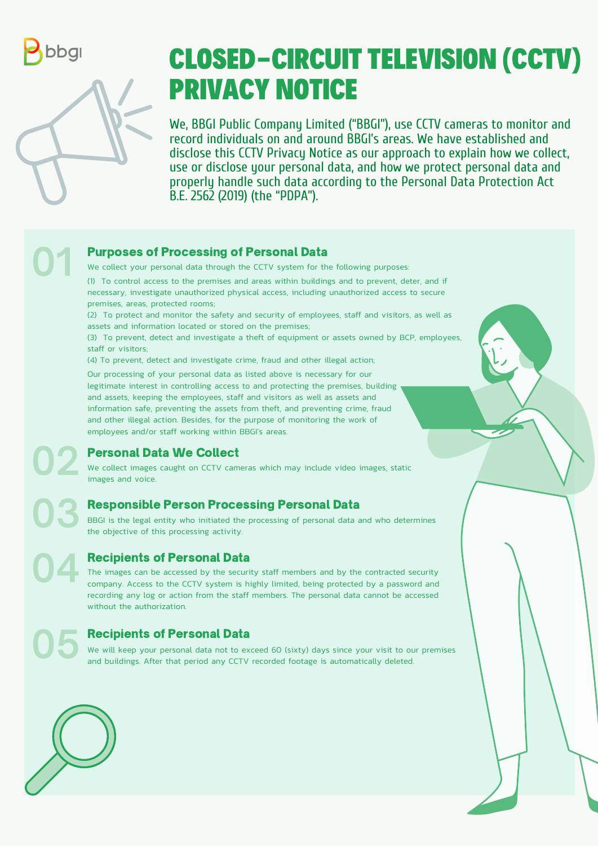

01



We, BBGI Public Company Limited ("BBGI"), use CCTV cameras to monitor and record individuals on and around BBGI's areas. We have established and disclose this CCTV Privacy Notice as our approach to explain how we collect, use or disclose your personal data, and how we protect personal data and properly handle such data according to the Personal Data Protection Act B.E. 2562 (2019) (the "PDPA").

(4) To prevent, detect and investigate crime, fraud and other illegal action;

(1) To control access to the premises and areas within buildings and to prevent, deter, and if necessary, investigate unauthorized physical access, including unauthorized access to secure premises, areas, protected rooms;

(2) To protect and monitor the safety and security of employees, staff and visitors, as well as assets and information located or stored on the premises;

(3) To prevent, detect and investigate a theft of equipment or assets owned by BCP, employees, staff or visitors;

## CLOSED-CIRCUIT TELEVISION (CCTV) PRIVACY NOTICE

### Purposes of Processing of Personal Data



03

04

# 05

We collect your personal data through the CCTV system for the following purposes:

We will keep your personal data not to exceed 60 (sixty) days since your visit to our premises and buildings. After that period any CCTV recorded footage is automatically deleted.



Our processing of your personal data as listed above is necessary for our legitimate interest in controlling access to and protecting the premises, building and assets, keeping the employees, staff and visitors as well as assets and information safe, preventing the assets from theft, and preventing crime, fraud and other illegal action. Besides, for the purpose of monitoring the work of employees and/or staff working within BBGI's areas.

#### Personal Data We Collect

We collect images caught on CCTV cameras which may include video images, static images and voice.

## Responsible Person Processing Personal Data

BBGI is the legal entity who initiated the processing of personal data and who determines the objective of this processing activity.

## Recipients of Personal Data

The images can be accessed by the security staff members and by the contracted security company. Access to the CCTV system is highly limited, being protected by a password and recording any log or action from the staff members. The personal data cannot be accessed without the authorization.

## Recipients of Personal Data